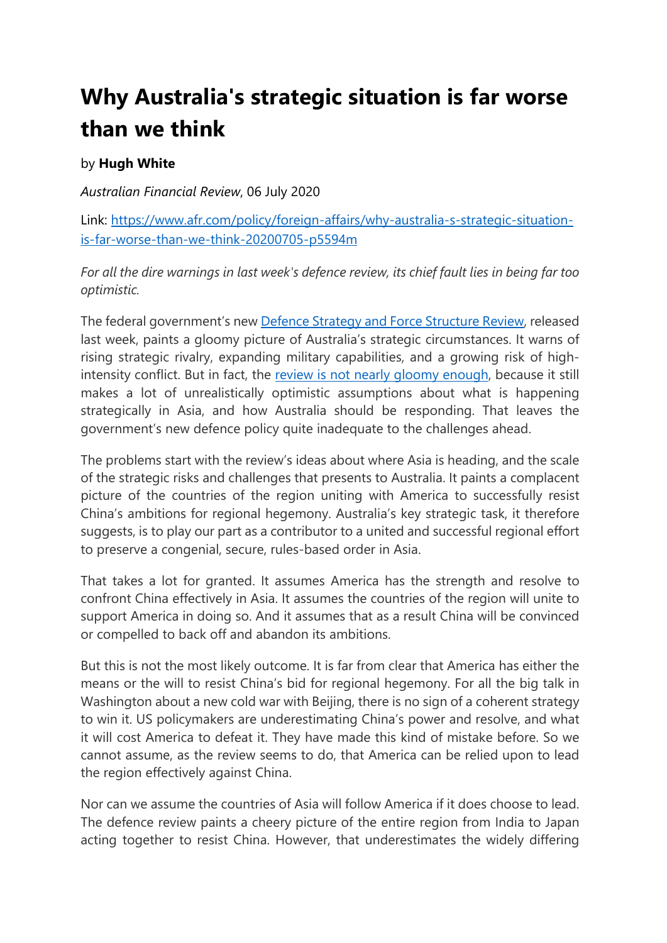## **Why Australia's strategic situation is far worse than we think**

## by **Hugh White**

*Australian Financial Review*, 06 July 2020

Link: [https://www.afr.com/policy/foreign-affairs/why-australia-s-strategic-situation](https://www.afr.com/policy/foreign-affairs/why-australia-s-strategic-situation-is-far-worse-than-we-think-20200705-p5594m)[is-far-worse-than-we-think-20200705-p5594m](https://www.afr.com/policy/foreign-affairs/why-australia-s-strategic-situation-is-far-worse-than-we-think-20200705-p5594m)

*For all the dire warnings in last week's defence review, its chief fault lies in being far too optimistic.*

The federal government's new [Defence Strategy and Force Structure Review,](https://www.afr.com/politics/federal/new-missiles-for-defence-in-270b-arms-build-up-20200630-p557kg) released last week, paints a gloomy picture of Australia's strategic circumstances. It warns of rising strategic rivalry, expanding military capabilities, and a growing risk of highintensity conflict. But in fact, the [review is not nearly gloomy enough,](https://www.afr.com/politics/federal/australia-s-military-muscle-receives-a-shot-in-the-arm-20200702-p558ah) because it still makes a lot of unrealistically optimistic assumptions about what is happening strategically in Asia, and how Australia should be responding. That leaves the government's new defence policy quite inadequate to the challenges ahead.

The problems start with the review's ideas about where Asia is heading, and the scale of the strategic risks and challenges that presents to Australia. It paints a complacent picture of the countries of the region uniting with America to successfully resist China's ambitions for regional hegemony. Australia's key strategic task, it therefore suggests, is to play our part as a contributor to a united and successful regional effort to preserve a congenial, secure, rules-based order in Asia.

That takes a lot for granted. It assumes America has the strength and resolve to confront China effectively in Asia. It assumes the countries of the region will unite to support America in doing so. And it assumes that as a result China will be convinced or compelled to back off and abandon its ambitions.

But this is not the most likely outcome. It is far from clear that America has either the means or the will to resist China's bid for regional hegemony. For all the big talk in Washington about a new cold war with Beijing, there is no sign of a coherent strategy to win it. US policymakers are underestimating China's power and resolve, and what it will cost America to defeat it. They have made this kind of mistake before. So we cannot assume, as the review seems to do, that America can be relied upon to lead the region effectively against China.

Nor can we assume the countries of Asia will follow America if it does choose to lead. The defence review paints a cheery picture of the entire region from India to Japan acting together to resist China. However, that underestimates the widely differing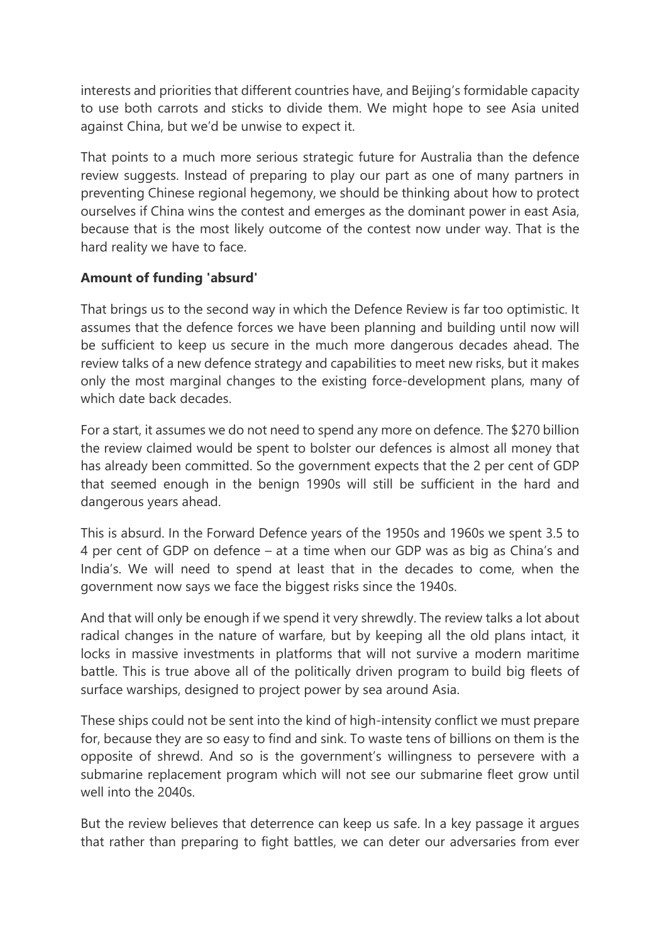interests and priorities that different countries have, and Beijing's formidable capacity to use both carrots and sticks to divide them. We might hope to see Asia united against China, but we'd be unwise to expect it.

That points to a much more serious strategic future for Australia than the defence review suggests. Instead of preparing to play our part as one of many partners in preventing Chinese regional hegemony, we should be thinking about how to protect ourselves if China wins the contest and emerges as the dominant power in east Asia, because that is the most likely outcome of the contest now under way. That is the hard reality we have to face.

## **Amount of funding 'absurd'**

That brings us to the second way in which the Defence Review is far too optimistic. It assumes that the defence forces we have been planning and building until now will be sufficient to keep us secure in the much more dangerous decades ahead. The review talks of a new defence strategy and capabilities to meet new risks, but it makes only the most marginal changes to the existing force-development plans, many of which date back decades.

For a start, it assumes we do not need to spend any more on defence. The \$270 billion the review claimed would be spent to bolster our defences is almost all money that has already been committed. So the government expects that the 2 per cent of GDP that seemed enough in the benign 1990s will still be sufficient in the hard and dangerous years ahead.

This is absurd. In the Forward Defence years of the 1950s and 1960s we spent 3.5 to 4 per cent of GDP on defence – at a time when our GDP was as big as China's and India's. We will need to spend at least that in the decades to come, when the government now says we face the biggest risks since the 1940s.

And that will only be enough if we spend it very shrewdly. The review talks a lot about radical changes in the nature of warfare, but by keeping all the old plans intact, it locks in massive investments in platforms that will not survive a modern maritime battle. This is true above all of the politically driven program to build big fleets of surface warships, designed to project power by sea around Asia.

These ships could not be sent into the kind of high-intensity conflict we must prepare for, because they are so easy to find and sink. To waste tens of billions on them is the opposite of shrewd. And so is the government's willingness to persevere with a submarine replacement program which will not see our submarine fleet grow until well into the 2040s.

But the review believes that deterrence can keep us safe. In a key passage it argues that rather than preparing to fight battles, we can deter our adversaries from ever